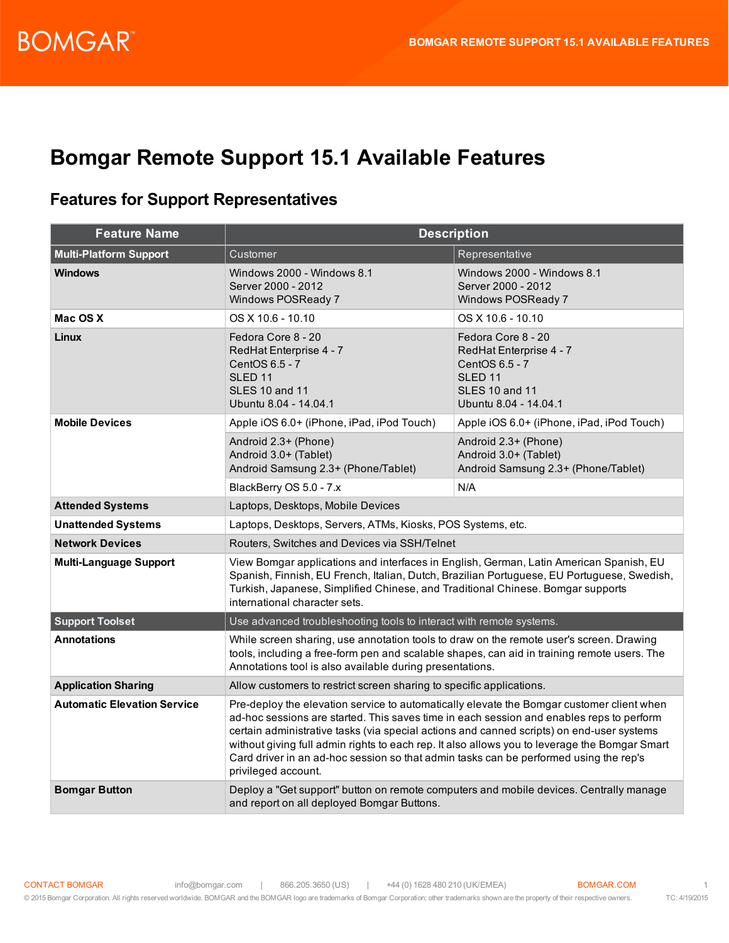### **Bomgar Remote Support 15.1 Available Features**

#### **Features for Support Representatives**

| <b>Feature Name</b>                | <b>Description</b>                                                                                                                                                                                                                                                                                                                                                                                                                                                                                  |                                                                                                                                         |  |
|------------------------------------|-----------------------------------------------------------------------------------------------------------------------------------------------------------------------------------------------------------------------------------------------------------------------------------------------------------------------------------------------------------------------------------------------------------------------------------------------------------------------------------------------------|-----------------------------------------------------------------------------------------------------------------------------------------|--|
| <b>Multi-Platform Support</b>      | Customer                                                                                                                                                                                                                                                                                                                                                                                                                                                                                            | Representative                                                                                                                          |  |
| <b>Windows</b>                     | Windows 2000 - Windows 8.1<br>Server 2000 - 2012<br>Windows POSReady 7                                                                                                                                                                                                                                                                                                                                                                                                                              | Windows 2000 - Windows 8.1<br>Server 2000 - 2012<br>Windows POSReady 7                                                                  |  |
| Mac OS X                           | OS X 10.6 - 10.10                                                                                                                                                                                                                                                                                                                                                                                                                                                                                   | $OS X 10.6 - 10.10$                                                                                                                     |  |
| <b>Linux</b>                       | Fedora Core 8 - 20<br>RedHat Enterprise 4 - 7<br>CentOS 6.5 - 7<br>SLED <sub>11</sub><br><b>SLES 10 and 11</b><br>Ubuntu 8.04 - 14.04.1                                                                                                                                                                                                                                                                                                                                                             | Fedora Core 8 - 20<br>RedHat Enterprise 4 - 7<br>CentOS 6.5 - 7<br>SLED <sub>11</sub><br><b>SLES 10 and 11</b><br>Ubuntu 8.04 - 14.04.1 |  |
| <b>Mobile Devices</b>              | Apple iOS 6.0+ (iPhone, iPad, iPod Touch)                                                                                                                                                                                                                                                                                                                                                                                                                                                           | Apple iOS 6.0+ (iPhone, iPad, iPod Touch)                                                                                               |  |
|                                    | Android 2.3+ (Phone)<br>Android 3.0+ (Tablet)<br>Android Samsung 2.3+ (Phone/Tablet)                                                                                                                                                                                                                                                                                                                                                                                                                | Android 2.3+ (Phone)<br>Android 3.0+ (Tablet)<br>Android Samsung 2.3+ (Phone/Tablet)                                                    |  |
|                                    | BlackBerry OS 5.0 - 7.x                                                                                                                                                                                                                                                                                                                                                                                                                                                                             | N/A                                                                                                                                     |  |
| <b>Attended Systems</b>            | Laptops, Desktops, Mobile Devices                                                                                                                                                                                                                                                                                                                                                                                                                                                                   |                                                                                                                                         |  |
| <b>Unattended Systems</b>          | Laptops, Desktops, Servers, ATMs, Kiosks, POS Systems, etc.                                                                                                                                                                                                                                                                                                                                                                                                                                         |                                                                                                                                         |  |
| <b>Network Devices</b>             | Routers, Switches and Devices via SSH/Telnet                                                                                                                                                                                                                                                                                                                                                                                                                                                        |                                                                                                                                         |  |
| <b>Multi-Language Support</b>      | View Bomgar applications and interfaces in English, German, Latin American Spanish, EU<br>Spanish, Finnish, EU French, Italian, Dutch, Brazilian Portuguese, EU Portuguese, Swedish,<br>Turkish, Japanese, Simplified Chinese, and Traditional Chinese. Bomgar supports<br>international character sets.                                                                                                                                                                                            |                                                                                                                                         |  |
| <b>Support Toolset</b>             | Use advanced troubleshooting tools to interact with remote systems.                                                                                                                                                                                                                                                                                                                                                                                                                                 |                                                                                                                                         |  |
| <b>Annotations</b>                 | While screen sharing, use annotation tools to draw on the remote user's screen. Drawing<br>tools, including a free-form pen and scalable shapes, can aid in training remote users. The<br>Annotations tool is also available during presentations.                                                                                                                                                                                                                                                  |                                                                                                                                         |  |
| <b>Application Sharing</b>         | Allow customers to restrict screen sharing to specific applications.                                                                                                                                                                                                                                                                                                                                                                                                                                |                                                                                                                                         |  |
| <b>Automatic Elevation Service</b> | Pre-deploy the elevation service to automatically elevate the Bomgar customer client when<br>ad-hoc sessions are started. This saves time in each session and enables reps to perform<br>certain administrative tasks (via special actions and canned scripts) on end-user systems<br>without giving full admin rights to each rep. It also allows you to leverage the Bomgar Smart<br>Card driver in an ad-hoc session so that admin tasks can be performed using the rep's<br>privileged account. |                                                                                                                                         |  |
| <b>Bomgar Button</b>               | Deploy a "Get support" button on remote computers and mobile devices. Centrally manage<br>and report on all deployed Bomgar Buttons.                                                                                                                                                                                                                                                                                                                                                                |                                                                                                                                         |  |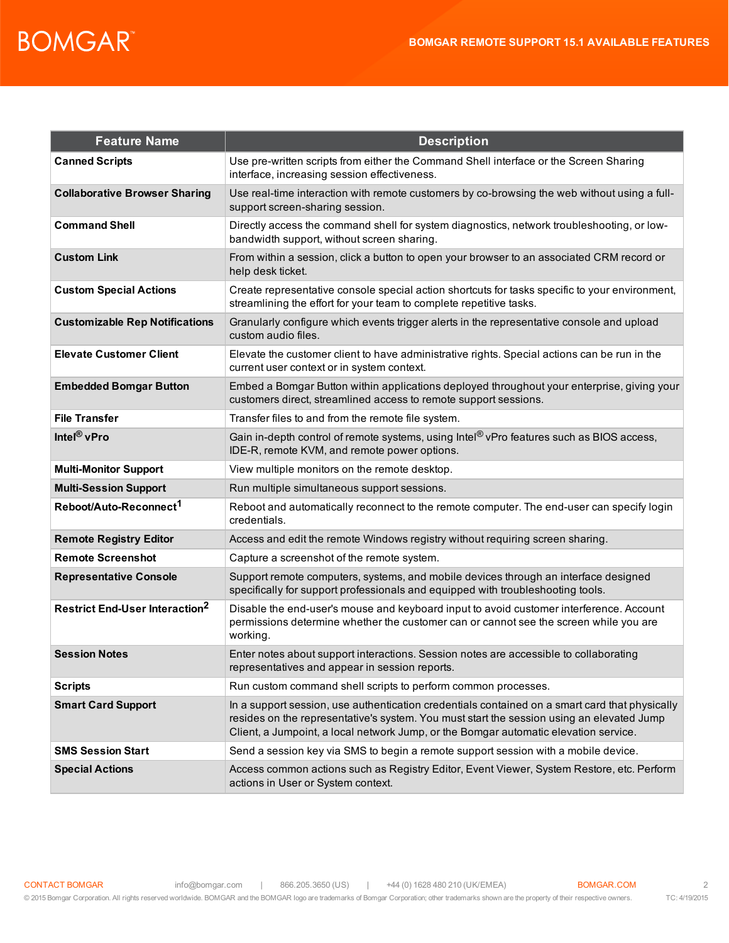| <b>Feature Name</b>                              | <b>Description</b>                                                                                                                                                                                                                                                                  |
|--------------------------------------------------|-------------------------------------------------------------------------------------------------------------------------------------------------------------------------------------------------------------------------------------------------------------------------------------|
| <b>Canned Scripts</b>                            | Use pre-written scripts from either the Command Shell interface or the Screen Sharing<br>interface, increasing session effectiveness.                                                                                                                                               |
| <b>Collaborative Browser Sharing</b>             | Use real-time interaction with remote customers by co-browsing the web without using a full-<br>support screen-sharing session.                                                                                                                                                     |
| <b>Command Shell</b>                             | Directly access the command shell for system diagnostics, network troubleshooting, or low-<br>bandwidth support, without screen sharing.                                                                                                                                            |
| <b>Custom Link</b>                               | From within a session, click a button to open your browser to an associated CRM record or<br>help desk ticket.                                                                                                                                                                      |
| <b>Custom Special Actions</b>                    | Create representative console special action shortcuts for tasks specific to your environment,<br>streamlining the effort for your team to complete repetitive tasks.                                                                                                               |
| <b>Customizable Rep Notifications</b>            | Granularly configure which events trigger alerts in the representative console and upload<br>custom audio files.                                                                                                                                                                    |
| <b>Elevate Customer Client</b>                   | Elevate the customer client to have administrative rights. Special actions can be run in the<br>current user context or in system context.                                                                                                                                          |
| <b>Embedded Bomgar Button</b>                    | Embed a Bomgar Button within applications deployed throughout your enterprise, giving your<br>customers direct, streamlined access to remote support sessions.                                                                                                                      |
| <b>File Transfer</b>                             | Transfer files to and from the remote file system.                                                                                                                                                                                                                                  |
| Intel <sup>®</sup> vPro                          | Gain in-depth control of remote systems, using Intel® vPro features such as BIOS access,<br>IDE-R, remote KVM, and remote power options.                                                                                                                                            |
| <b>Multi-Monitor Support</b>                     | View multiple monitors on the remote desktop.                                                                                                                                                                                                                                       |
| <b>Multi-Session Support</b>                     | Run multiple simultaneous support sessions.                                                                                                                                                                                                                                         |
| Reboot/Auto-Reconnect <sup>1</sup>               | Reboot and automatically reconnect to the remote computer. The end-user can specify login<br>credentials.                                                                                                                                                                           |
| <b>Remote Registry Editor</b>                    | Access and edit the remote Windows registry without requiring screen sharing.                                                                                                                                                                                                       |
| <b>Remote Screenshot</b>                         | Capture a screenshot of the remote system.                                                                                                                                                                                                                                          |
| <b>Representative Console</b>                    | Support remote computers, systems, and mobile devices through an interface designed<br>specifically for support professionals and equipped with troubleshooting tools.                                                                                                              |
| <b>Restrict End-User Interaction<sup>2</sup></b> | Disable the end-user's mouse and keyboard input to avoid customer interference. Account<br>permissions determine whether the customer can or cannot see the screen while you are<br>working.                                                                                        |
| <b>Session Notes</b>                             | Enter notes about support interactions. Session notes are accessible to collaborating<br>representatives and appear in session reports.                                                                                                                                             |
| <b>Scripts</b>                                   | Run custom command shell scripts to perform common processes.                                                                                                                                                                                                                       |
| <b>Smart Card Support</b>                        | In a support session, use authentication credentials contained on a smart card that physically<br>resides on the representative's system. You must start the session using an elevated Jump<br>Client, a Jumpoint, a local network Jump, or the Bomgar automatic elevation service. |
| <b>SMS Session Start</b>                         | Send a session key via SMS to begin a remote support session with a mobile device.                                                                                                                                                                                                  |
| <b>Special Actions</b>                           | Access common actions such as Registry Editor, Event Viewer, System Restore, etc. Perform<br>actions in User or System context.                                                                                                                                                     |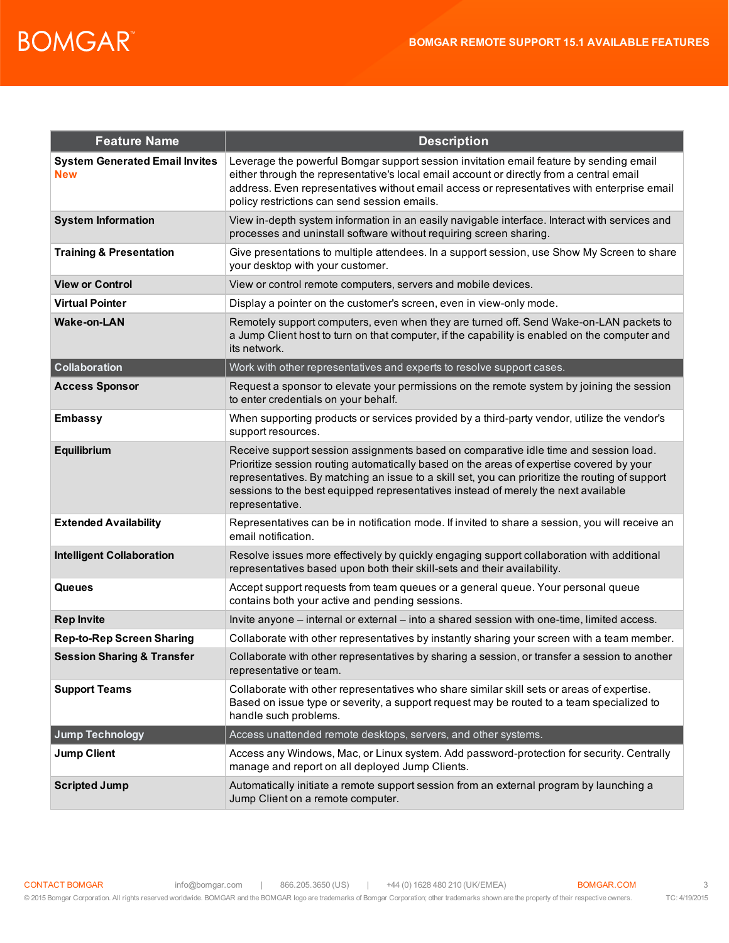| <b>Feature Name</b>                                 | <b>Description</b>                                                                                                                                                                                                                                                                                                                                                                           |
|-----------------------------------------------------|----------------------------------------------------------------------------------------------------------------------------------------------------------------------------------------------------------------------------------------------------------------------------------------------------------------------------------------------------------------------------------------------|
| <b>System Generated Email Invites</b><br><b>New</b> | Leverage the powerful Bomgar support session invitation email feature by sending email<br>either through the representative's local email account or directly from a central email<br>address. Even representatives without email access or representatives with enterprise email<br>policy restrictions can send session emails.                                                            |
| <b>System Information</b>                           | View in-depth system information in an easily navigable interface. Interact with services and<br>processes and uninstall software without requiring screen sharing.                                                                                                                                                                                                                          |
| <b>Training &amp; Presentation</b>                  | Give presentations to multiple attendees. In a support session, use Show My Screen to share<br>your desktop with your customer.                                                                                                                                                                                                                                                              |
| <b>View or Control</b>                              | View or control remote computers, servers and mobile devices.                                                                                                                                                                                                                                                                                                                                |
| <b>Virtual Pointer</b>                              | Display a pointer on the customer's screen, even in view-only mode.                                                                                                                                                                                                                                                                                                                          |
| <b>Wake-on-LAN</b>                                  | Remotely support computers, even when they are turned off. Send Wake-on-LAN packets to<br>a Jump Client host to turn on that computer, if the capability is enabled on the computer and<br>its network.                                                                                                                                                                                      |
| <b>Collaboration</b>                                | Work with other representatives and experts to resolve support cases.                                                                                                                                                                                                                                                                                                                        |
| <b>Access Sponsor</b>                               | Request a sponsor to elevate your permissions on the remote system by joining the session<br>to enter credentials on your behalf.                                                                                                                                                                                                                                                            |
| <b>Embassy</b>                                      | When supporting products or services provided by a third-party vendor, utilize the vendor's<br>support resources.                                                                                                                                                                                                                                                                            |
| Equilibrium                                         | Receive support session assignments based on comparative idle time and session load.<br>Prioritize session routing automatically based on the areas of expertise covered by your<br>representatives. By matching an issue to a skill set, you can prioritize the routing of support<br>sessions to the best equipped representatives instead of merely the next available<br>representative. |
| <b>Extended Availability</b>                        | Representatives can be in notification mode. If invited to share a session, you will receive an<br>email notification.                                                                                                                                                                                                                                                                       |
| <b>Intelligent Collaboration</b>                    | Resolve issues more effectively by quickly engaging support collaboration with additional<br>representatives based upon both their skill-sets and their availability.                                                                                                                                                                                                                        |
| Queues                                              | Accept support requests from team queues or a general queue. Your personal queue<br>contains both your active and pending sessions.                                                                                                                                                                                                                                                          |
| <b>Rep Invite</b>                                   | Invite anyone – internal or external – into a shared session with one-time, limited access.                                                                                                                                                                                                                                                                                                  |
| <b>Rep-to-Rep Screen Sharing</b>                    | Collaborate with other representatives by instantly sharing your screen with a team member.                                                                                                                                                                                                                                                                                                  |
| <b>Session Sharing &amp; Transfer</b>               | Collaborate with other representatives by sharing a session, or transfer a session to another<br>representative or team.                                                                                                                                                                                                                                                                     |
| <b>Support Teams</b>                                | Collaborate with other representatives who share similar skill sets or areas of expertise.<br>Based on issue type or severity, a support request may be routed to a team specialized to<br>handle such problems.                                                                                                                                                                             |
| <b>Jump Technology</b>                              | Access unattended remote desktops, servers, and other systems.                                                                                                                                                                                                                                                                                                                               |
| <b>Jump Client</b>                                  | Access any Windows, Mac, or Linux system. Add password-protection for security. Centrally<br>manage and report on all deployed Jump Clients.                                                                                                                                                                                                                                                 |
| <b>Scripted Jump</b>                                | Automatically initiate a remote support session from an external program by launching a<br>Jump Client on a remote computer.                                                                                                                                                                                                                                                                 |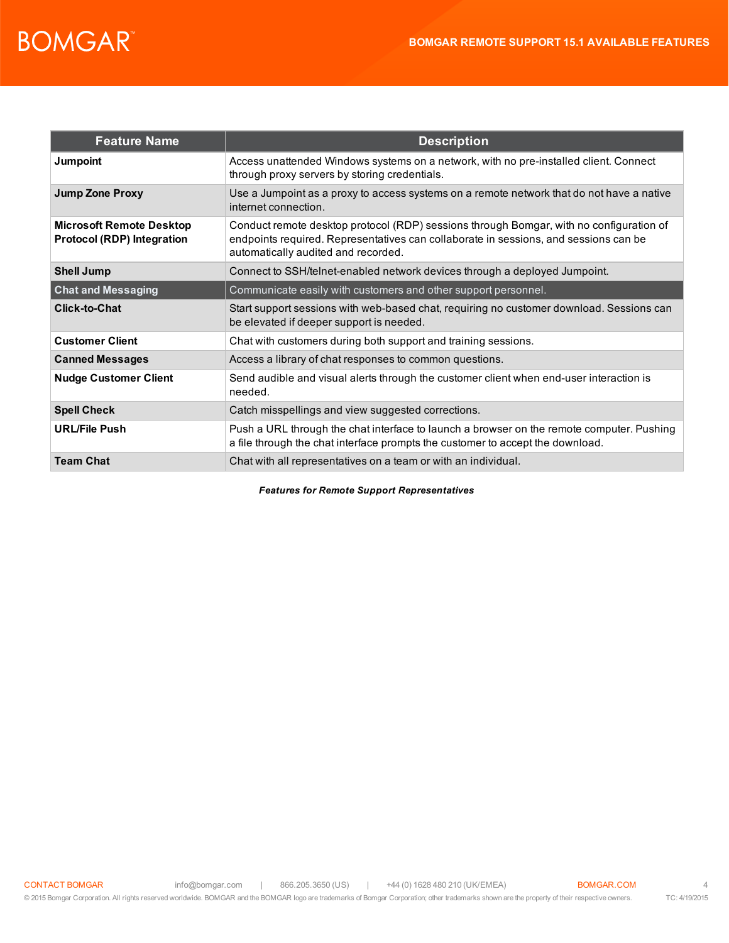| <b>Feature Name</b>                                                  | <b>Description</b>                                                                                                                                                                                                     |
|----------------------------------------------------------------------|------------------------------------------------------------------------------------------------------------------------------------------------------------------------------------------------------------------------|
| Jumpoint                                                             | Access unattended Windows systems on a network, with no pre-installed client. Connect<br>through proxy servers by storing credentials.                                                                                 |
| <b>Jump Zone Proxy</b>                                               | Use a Jumpoint as a proxy to access systems on a remote network that do not have a native<br>internet connection.                                                                                                      |
| <b>Microsoft Remote Desktop</b><br><b>Protocol (RDP) Integration</b> | Conduct remote desktop protocol (RDP) sessions through Bomgar, with no configuration of<br>endpoints required. Representatives can collaborate in sessions, and sessions can be<br>automatically audited and recorded. |
| <b>Shell Jump</b>                                                    | Connect to SSH/telnet-enabled network devices through a deployed Jumpoint.                                                                                                                                             |
| <b>Chat and Messaging</b>                                            | Communicate easily with customers and other support personnel.                                                                                                                                                         |
| <b>Click-to-Chat</b>                                                 | Start support sessions with web-based chat, requiring no customer download. Sessions can<br>be elevated if deeper support is needed.                                                                                   |
| <b>Customer Client</b>                                               | Chat with customers during both support and training sessions.                                                                                                                                                         |
| <b>Canned Messages</b>                                               | Access a library of chat responses to common questions.                                                                                                                                                                |
| <b>Nudge Customer Client</b>                                         | Send audible and visual alerts through the customer client when end-user interaction is<br>needed.                                                                                                                     |
| <b>Spell Check</b>                                                   | Catch misspellings and view suggested corrections.                                                                                                                                                                     |
| <b>URL/File Push</b>                                                 | Push a URL through the chat interface to launch a browser on the remote computer. Pushing<br>a file through the chat interface prompts the customer to accept the download.                                            |
| <b>Team Chat</b>                                                     | Chat with all representatives on a team or with an individual.                                                                                                                                                         |

*Features for Remote Support Representatives*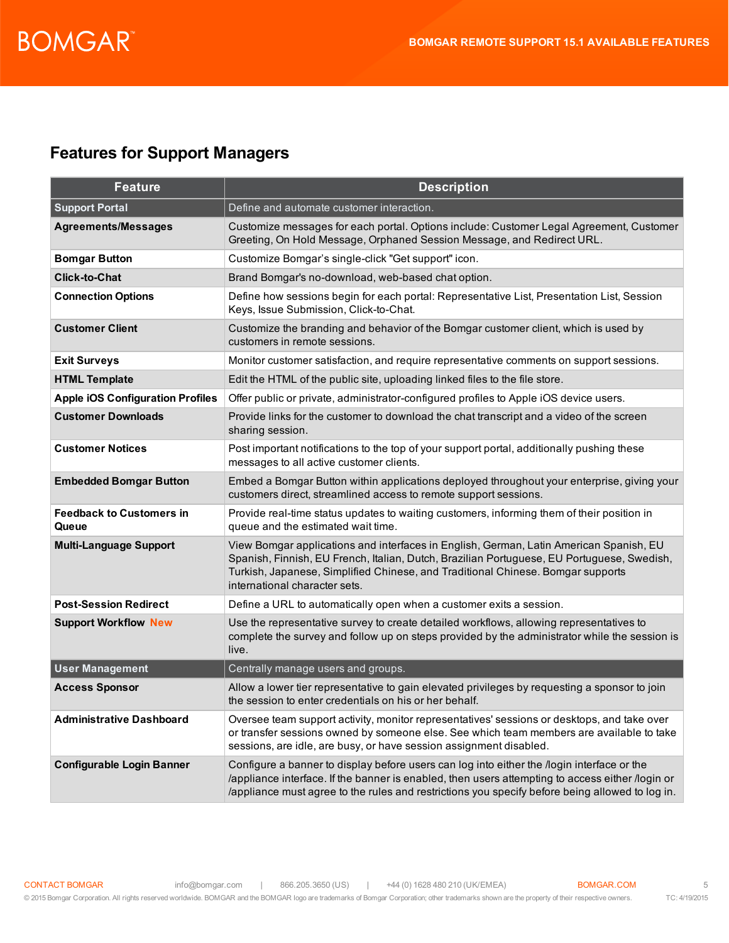### **Features for Support Managers**

| <b>Feature</b>                           | <b>Description</b>                                                                                                                                                                                                                                                                                       |
|------------------------------------------|----------------------------------------------------------------------------------------------------------------------------------------------------------------------------------------------------------------------------------------------------------------------------------------------------------|
| <b>Support Portal</b>                    | Define and automate customer interaction.                                                                                                                                                                                                                                                                |
| <b>Agreements/Messages</b>               | Customize messages for each portal. Options include: Customer Legal Agreement, Customer<br>Greeting, On Hold Message, Orphaned Session Message, and Redirect URL.                                                                                                                                        |
| <b>Bomgar Button</b>                     | Customize Bomgar's single-click "Get support" icon.                                                                                                                                                                                                                                                      |
| <b>Click-to-Chat</b>                     | Brand Bomgar's no-download, web-based chat option.                                                                                                                                                                                                                                                       |
| <b>Connection Options</b>                | Define how sessions begin for each portal: Representative List, Presentation List, Session<br>Keys, Issue Submission, Click-to-Chat.                                                                                                                                                                     |
| <b>Customer Client</b>                   | Customize the branding and behavior of the Bomgar customer client, which is used by<br>customers in remote sessions.                                                                                                                                                                                     |
| <b>Exit Surveys</b>                      | Monitor customer satisfaction, and require representative comments on support sessions.                                                                                                                                                                                                                  |
| <b>HTML Template</b>                     | Edit the HTML of the public site, uploading linked files to the file store.                                                                                                                                                                                                                              |
| <b>Apple iOS Configuration Profiles</b>  | Offer public or private, administrator-configured profiles to Apple iOS device users.                                                                                                                                                                                                                    |
| <b>Customer Downloads</b>                | Provide links for the customer to download the chat transcript and a video of the screen<br>sharing session.                                                                                                                                                                                             |
| <b>Customer Notices</b>                  | Post important notifications to the top of your support portal, additionally pushing these<br>messages to all active customer clients.                                                                                                                                                                   |
| <b>Embedded Bomgar Button</b>            | Embed a Bomgar Button within applications deployed throughout your enterprise, giving your<br>customers direct, streamlined access to remote support sessions.                                                                                                                                           |
| <b>Feedback to Customers in</b><br>Queue | Provide real-time status updates to waiting customers, informing them of their position in<br>queue and the estimated wait time.                                                                                                                                                                         |
| <b>Multi-Language Support</b>            | View Bomgar applications and interfaces in English, German, Latin American Spanish, EU<br>Spanish, Finnish, EU French, Italian, Dutch, Brazilian Portuguese, EU Portuguese, Swedish,<br>Turkish, Japanese, Simplified Chinese, and Traditional Chinese. Bomgar supports<br>international character sets. |
| <b>Post-Session Redirect</b>             | Define a URL to automatically open when a customer exits a session.                                                                                                                                                                                                                                      |
| <b>Support Workflow New</b>              | Use the representative survey to create detailed workflows, allowing representatives to<br>complete the survey and follow up on steps provided by the administrator while the session is<br>live.                                                                                                        |
| <b>User Management</b>                   | Centrally manage users and groups.                                                                                                                                                                                                                                                                       |
| <b>Access Sponsor</b>                    | Allow a lower tier representative to gain elevated privileges by requesting a sponsor to join<br>the session to enter credentials on his or her behalf.                                                                                                                                                  |
| <b>Administrative Dashboard</b>          | Oversee team support activity, monitor representatives' sessions or desktops, and take over<br>or transfer sessions owned by someone else. See which team members are available to take<br>sessions, are idle, are busy, or have session assignment disabled.                                            |
| <b>Configurable Login Banner</b>         | Configure a banner to display before users can log into either the /login interface or the<br>/appliance interface. If the banner is enabled, then users attempting to access either /login or<br>/appliance must agree to the rules and restrictions you specify before being allowed to log in.        |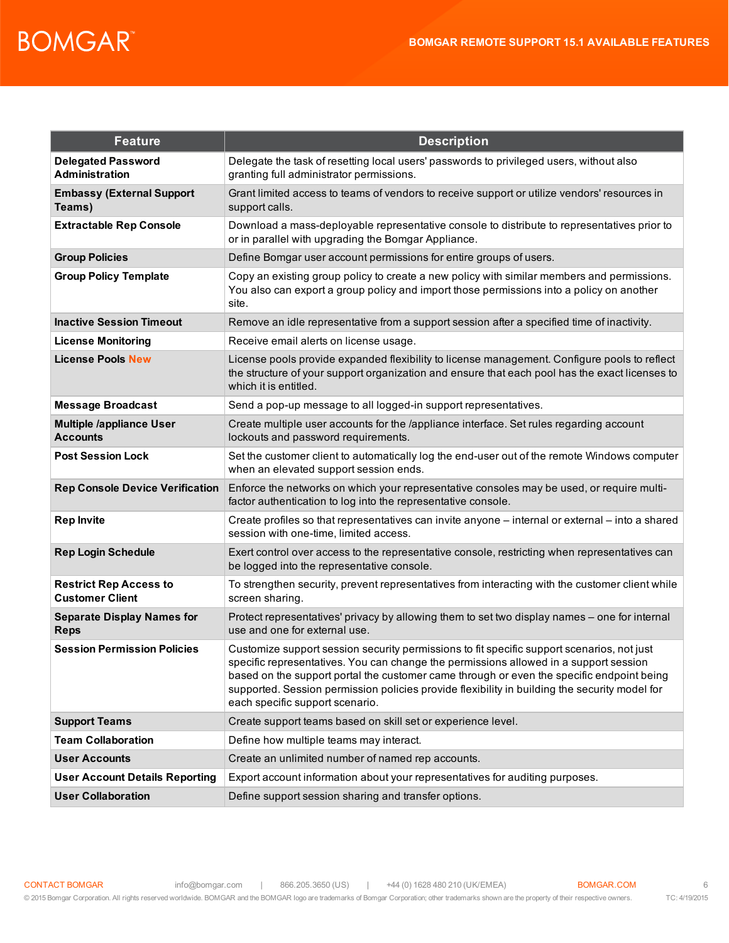| <b>Feature</b>                                          | <b>Description</b>                                                                                                                                                                                                                                                                                                                                                                                                   |
|---------------------------------------------------------|----------------------------------------------------------------------------------------------------------------------------------------------------------------------------------------------------------------------------------------------------------------------------------------------------------------------------------------------------------------------------------------------------------------------|
| <b>Delegated Password</b><br><b>Administration</b>      | Delegate the task of resetting local users' passwords to privileged users, without also<br>granting full administrator permissions.                                                                                                                                                                                                                                                                                  |
| <b>Embassy (External Support</b><br>Teams)              | Grant limited access to teams of vendors to receive support or utilize vendors' resources in<br>support calls.                                                                                                                                                                                                                                                                                                       |
| <b>Extractable Rep Console</b>                          | Download a mass-deployable representative console to distribute to representatives prior to<br>or in parallel with upgrading the Bomgar Appliance.                                                                                                                                                                                                                                                                   |
| <b>Group Policies</b>                                   | Define Bomgar user account permissions for entire groups of users.                                                                                                                                                                                                                                                                                                                                                   |
| <b>Group Policy Template</b>                            | Copy an existing group policy to create a new policy with similar members and permissions.<br>You also can export a group policy and import those permissions into a policy on another<br>site.                                                                                                                                                                                                                      |
| <b>Inactive Session Timeout</b>                         | Remove an idle representative from a support session after a specified time of inactivity.                                                                                                                                                                                                                                                                                                                           |
| <b>License Monitoring</b>                               | Receive email alerts on license usage.                                                                                                                                                                                                                                                                                                                                                                               |
| <b>License Pools New</b>                                | License pools provide expanded flexibility to license management. Configure pools to reflect<br>the structure of your support organization and ensure that each pool has the exact licenses to<br>which it is entitled.                                                                                                                                                                                              |
| <b>Message Broadcast</b>                                | Send a pop-up message to all logged-in support representatives.                                                                                                                                                                                                                                                                                                                                                      |
| <b>Multiple /appliance User</b><br><b>Accounts</b>      | Create multiple user accounts for the /appliance interface. Set rules regarding account<br>lockouts and password requirements.                                                                                                                                                                                                                                                                                       |
| <b>Post Session Lock</b>                                | Set the customer client to automatically log the end-user out of the remote Windows computer<br>when an elevated support session ends.                                                                                                                                                                                                                                                                               |
| <b>Rep Console Device Verification</b>                  | Enforce the networks on which your representative consoles may be used, or require multi-<br>factor authentication to log into the representative console.                                                                                                                                                                                                                                                           |
| <b>Rep Invite</b>                                       | Create profiles so that representatives can invite anyone – internal or external – into a shared<br>session with one-time, limited access.                                                                                                                                                                                                                                                                           |
| <b>Rep Login Schedule</b>                               | Exert control over access to the representative console, restricting when representatives can<br>be logged into the representative console.                                                                                                                                                                                                                                                                          |
| <b>Restrict Rep Access to</b><br><b>Customer Client</b> | To strengthen security, prevent representatives from interacting with the customer client while<br>screen sharing.                                                                                                                                                                                                                                                                                                   |
| <b>Separate Display Names for</b><br><b>Reps</b>        | Protect representatives' privacy by allowing them to set two display names - one for internal<br>use and one for external use.                                                                                                                                                                                                                                                                                       |
| <b>Session Permission Policies</b>                      | Customize support session security permissions to fit specific support scenarios, not just<br>specific representatives. You can change the permissions allowed in a support session<br>based on the support portal the customer came through or even the specific endpoint being<br>supported. Session permission policies provide flexibility in building the security model for<br>each specific support scenario. |
| <b>Support Teams</b>                                    | Create support teams based on skill set or experience level.                                                                                                                                                                                                                                                                                                                                                         |
| <b>Team Collaboration</b>                               | Define how multiple teams may interact.                                                                                                                                                                                                                                                                                                                                                                              |
| <b>User Accounts</b>                                    | Create an unlimited number of named rep accounts.                                                                                                                                                                                                                                                                                                                                                                    |
| <b>User Account Details Reporting</b>                   | Export account information about your representatives for auditing purposes.                                                                                                                                                                                                                                                                                                                                         |
| <b>User Collaboration</b>                               | Define support session sharing and transfer options.                                                                                                                                                                                                                                                                                                                                                                 |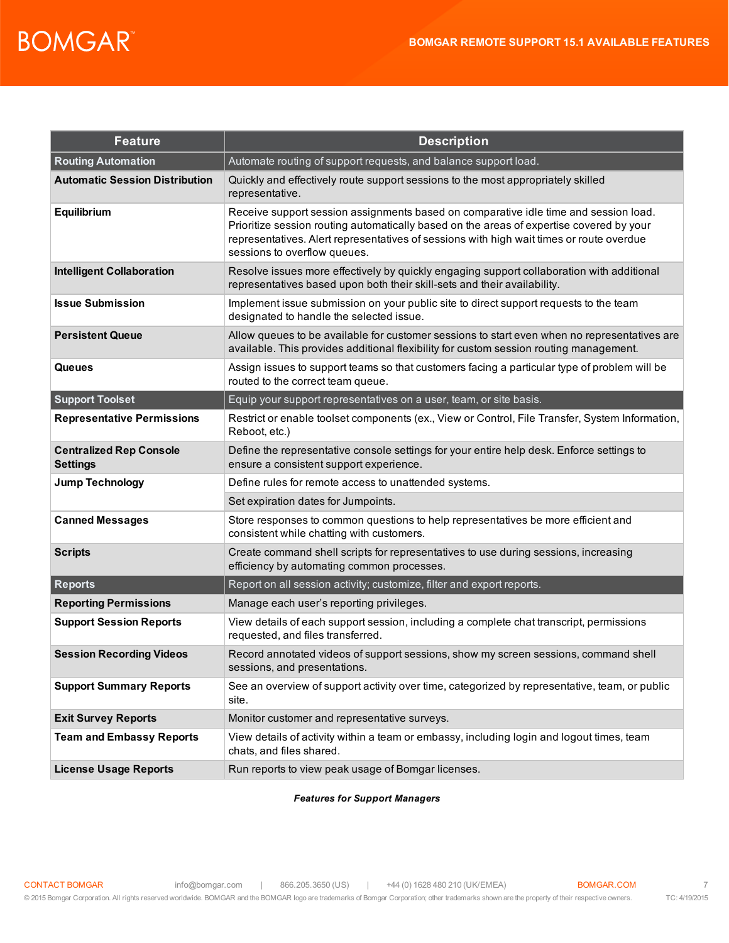| <b>Feature</b>                                    | <b>Description</b>                                                                                                                                                                                                                                                                                           |
|---------------------------------------------------|--------------------------------------------------------------------------------------------------------------------------------------------------------------------------------------------------------------------------------------------------------------------------------------------------------------|
| <b>Routing Automation</b>                         | Automate routing of support requests, and balance support load.                                                                                                                                                                                                                                              |
| <b>Automatic Session Distribution</b>             | Quickly and effectively route support sessions to the most appropriately skilled<br>representative.                                                                                                                                                                                                          |
| Equilibrium                                       | Receive support session assignments based on comparative idle time and session load.<br>Prioritize session routing automatically based on the areas of expertise covered by your<br>representatives. Alert representatives of sessions with high wait times or route overdue<br>sessions to overflow queues. |
| <b>Intelligent Collaboration</b>                  | Resolve issues more effectively by quickly engaging support collaboration with additional<br>representatives based upon both their skill-sets and their availability.                                                                                                                                        |
| <b>Issue Submission</b>                           | Implement issue submission on your public site to direct support requests to the team<br>designated to handle the selected issue.                                                                                                                                                                            |
| <b>Persistent Queue</b>                           | Allow queues to be available for customer sessions to start even when no representatives are<br>available. This provides additional flexibility for custom session routing management.                                                                                                                       |
| Queues                                            | Assign issues to support teams so that customers facing a particular type of problem will be<br>routed to the correct team queue.                                                                                                                                                                            |
| <b>Support Toolset</b>                            | Equip your support representatives on a user, team, or site basis.                                                                                                                                                                                                                                           |
| <b>Representative Permissions</b>                 | Restrict or enable toolset components (ex., View or Control, File Transfer, System Information,<br>Reboot, etc.)                                                                                                                                                                                             |
| <b>Centralized Rep Console</b><br><b>Settings</b> | Define the representative console settings for your entire help desk. Enforce settings to<br>ensure a consistent support experience.                                                                                                                                                                         |
| <b>Jump Technology</b>                            | Define rules for remote access to unattended systems.                                                                                                                                                                                                                                                        |
|                                                   | Set expiration dates for Jumpoints.                                                                                                                                                                                                                                                                          |
| <b>Canned Messages</b>                            | Store responses to common questions to help representatives be more efficient and<br>consistent while chatting with customers.                                                                                                                                                                               |
| <b>Scripts</b>                                    | Create command shell scripts for representatives to use during sessions, increasing<br>efficiency by automating common processes.                                                                                                                                                                            |
| <b>Reports</b>                                    | Report on all session activity; customize, filter and export reports.                                                                                                                                                                                                                                        |
| <b>Reporting Permissions</b>                      | Manage each user's reporting privileges.                                                                                                                                                                                                                                                                     |
| <b>Support Session Reports</b>                    | View details of each support session, including a complete chat transcript, permissions<br>requested, and files transferred.                                                                                                                                                                                 |
| <b>Session Recording Videos</b>                   | Record annotated videos of support sessions, show my screen sessions, command shell<br>sessions, and presentations.                                                                                                                                                                                          |
| <b>Support Summary Reports</b>                    | See an overview of support activity over time, categorized by representative, team, or public<br>site.                                                                                                                                                                                                       |
| <b>Exit Survey Reports</b>                        | Monitor customer and representative surveys.                                                                                                                                                                                                                                                                 |
| <b>Team and Embassy Reports</b>                   | View details of activity within a team or embassy, including login and logout times, team<br>chats, and files shared.                                                                                                                                                                                        |
| <b>License Usage Reports</b>                      | Run reports to view peak usage of Bomgar licenses.                                                                                                                                                                                                                                                           |

*Features for Support Managers*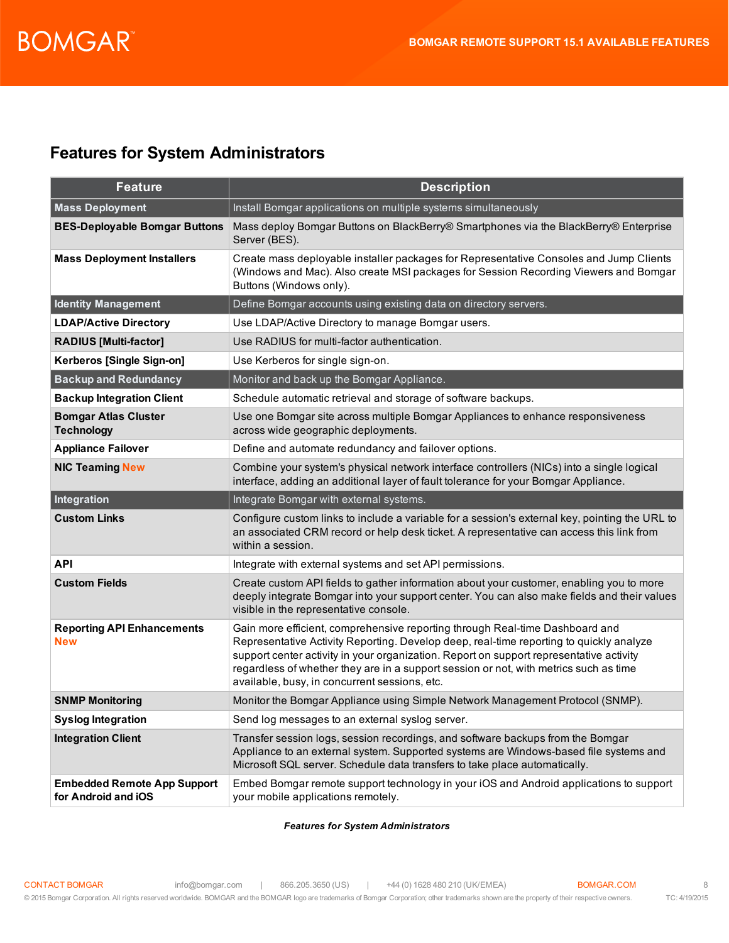### **Features for System Administrators**

| <b>Feature</b>                                            | <b>Description</b>                                                                                                                                                                                                                                                                                                                                                                                           |
|-----------------------------------------------------------|--------------------------------------------------------------------------------------------------------------------------------------------------------------------------------------------------------------------------------------------------------------------------------------------------------------------------------------------------------------------------------------------------------------|
| <b>Mass Deployment</b>                                    | Install Bomgar applications on multiple systems simultaneously                                                                                                                                                                                                                                                                                                                                               |
| <b>BES-Deployable Bomgar Buttons</b>                      | Mass deploy Bomgar Buttons on BlackBerry® Smartphones via the BlackBerry® Enterprise<br>Server (BES).                                                                                                                                                                                                                                                                                                        |
| <b>Mass Deployment Installers</b>                         | Create mass deployable installer packages for Representative Consoles and Jump Clients<br>(Windows and Mac). Also create MSI packages for Session Recording Viewers and Bomgar<br>Buttons (Windows only).                                                                                                                                                                                                    |
| <b>Identity Management</b>                                | Define Bomgar accounts using existing data on directory servers.                                                                                                                                                                                                                                                                                                                                             |
| <b>LDAP/Active Directory</b>                              | Use LDAP/Active Directory to manage Bomgar users.                                                                                                                                                                                                                                                                                                                                                            |
| <b>RADIUS [Multi-factor]</b>                              | Use RADIUS for multi-factor authentication.                                                                                                                                                                                                                                                                                                                                                                  |
| Kerberos [Single Sign-on]                                 | Use Kerberos for single sign-on.                                                                                                                                                                                                                                                                                                                                                                             |
| <b>Backup and Redundancy</b>                              | Monitor and back up the Bomgar Appliance.                                                                                                                                                                                                                                                                                                                                                                    |
| <b>Backup Integration Client</b>                          | Schedule automatic retrieval and storage of software backups.                                                                                                                                                                                                                                                                                                                                                |
| <b>Bomgar Atlas Cluster</b><br><b>Technology</b>          | Use one Bomgar site across multiple Bomgar Appliances to enhance responsiveness<br>across wide geographic deployments.                                                                                                                                                                                                                                                                                       |
| <b>Appliance Failover</b>                                 | Define and automate redundancy and failover options.                                                                                                                                                                                                                                                                                                                                                         |
| <b>NIC Teaming New</b>                                    | Combine your system's physical network interface controllers (NICs) into a single logical<br>interface, adding an additional layer of fault tolerance for your Bomgar Appliance.                                                                                                                                                                                                                             |
| Integration                                               | Integrate Bomgar with external systems.                                                                                                                                                                                                                                                                                                                                                                      |
| <b>Custom Links</b>                                       | Configure custom links to include a variable for a session's external key, pointing the URL to<br>an associated CRM record or help desk ticket. A representative can access this link from<br>within a session.                                                                                                                                                                                              |
| <b>API</b>                                                | Integrate with external systems and set API permissions.                                                                                                                                                                                                                                                                                                                                                     |
| <b>Custom Fields</b>                                      | Create custom API fields to gather information about your customer, enabling you to more<br>deeply integrate Bomgar into your support center. You can also make fields and their values<br>visible in the representative console.                                                                                                                                                                            |
| <b>Reporting API Enhancements</b><br><b>New</b>           | Gain more efficient, comprehensive reporting through Real-time Dashboard and<br>Representative Activity Reporting. Develop deep, real-time reporting to quickly analyze<br>support center activity in your organization. Report on support representative activity<br>regardless of whether they are in a support session or not, with metrics such as time<br>available, busy, in concurrent sessions, etc. |
| <b>SNMP Monitoring</b>                                    | Monitor the Bomgar Appliance using Simple Network Management Protocol (SNMP).                                                                                                                                                                                                                                                                                                                                |
| <b>Syslog Integration</b>                                 | Send log messages to an external syslog server.                                                                                                                                                                                                                                                                                                                                                              |
| <b>Integration Client</b>                                 | Transfer session logs, session recordings, and software backups from the Bomgar<br>Appliance to an external system. Supported systems are Windows-based file systems and<br>Microsoft SQL server. Schedule data transfers to take place automatically.                                                                                                                                                       |
| <b>Embedded Remote App Support</b><br>for Android and iOS | Embed Bomgar remote support technology in your iOS and Android applications to support<br>your mobile applications remotely.                                                                                                                                                                                                                                                                                 |

#### *Features for System Administrators*